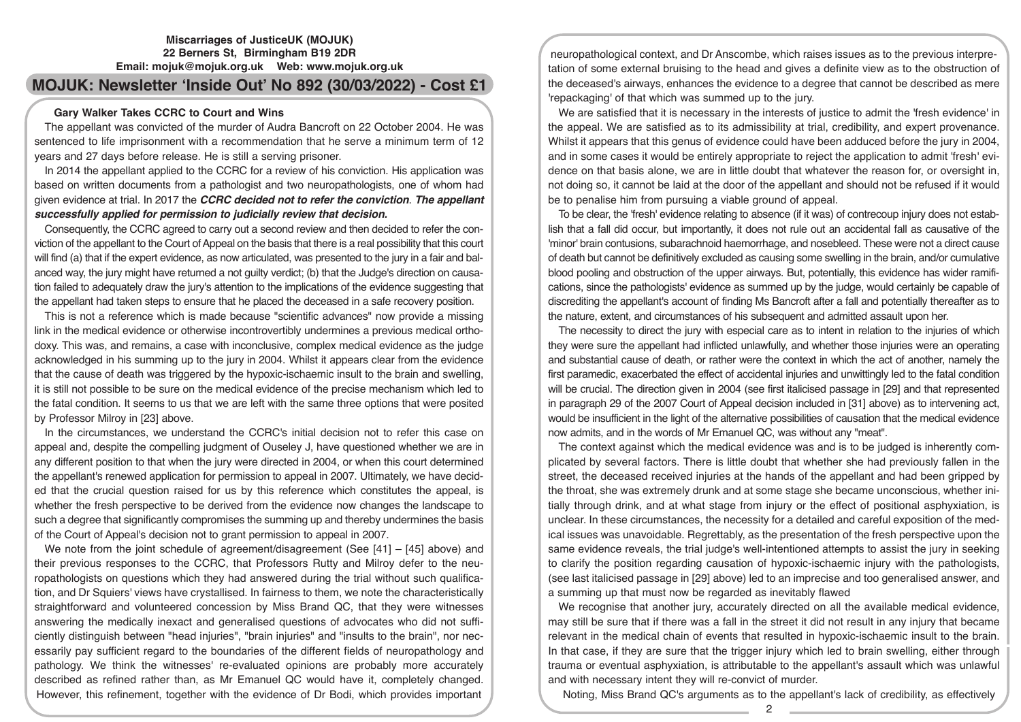# **Miscarriages of JusticeUK (MOJUK) 22 Berners St, Birmingham B19 2DR Email: mojuk@mojuk.org.uk Web: www.mojuk.org.uk**

# **MOJUK: Newsletter 'Inside Out' No 892 (30/03/2022) - Cost £1**

# **Gary Walker Takes CCRC to Court and Wins**

The appellant was convicted of the murder of Audra Bancroft on 22 October 2004. He was sentenced to life imprisonment with a recommendation that he serve a minimum term of 12 years and 27 days before release. He is still a serving prisoner.

In 2014 the appellant applied to the CCRC for a review of his conviction. His application was based on written documents from a pathologist and two neuropathologists, one of whom had given evidence at trial. In 2017 the *CCRC decided not to refer the conviction*. *The appellant successfully applied for permission to judicially review that decision.*

Consequently, the CCRC agreed to carry out a second review and then decided to refer the conviction of the appellant to the Court of Appeal on the basis that there is a real possibility that this court will find (a) that if the expert evidence, as now articulated, was presented to the jury in a fair and balanced way, the jury might have returned a not guilty verdict; (b) that the Judge's direction on causation failed to adequately draw the jury's attention to the implications of the evidence suggesting that the appellant had taken steps to ensure that he placed the deceased in a safe recovery position.

This is not a reference which is made because "scientific advances" now provide a missing link in the medical evidence or otherwise incontrovertibly undermines a previous medical orthodoxy. This was, and remains, a case with inconclusive, complex medical evidence as the judge acknowledged in his summing up to the jury in 2004. Whilst it appears clear from the evidence that the cause of death was triggered by the hypoxic-ischaemic insult to the brain and swelling, it is still not possible to be sure on the medical evidence of the precise mechanism which led to the fatal condition. It seems to us that we are left with the same three options that were posited by Professor Milroy in [23] above.

In the circumstances, we understand the CCRC's initial decision not to refer this case on appeal and, despite the compelling judgment of Ouseley J, have questioned whether we are in any different position to that when the jury were directed in 2004, or when this court determined the appellant's renewed application for permission to appeal in 2007. Ultimately, we have decided that the crucial question raised for us by this reference which constitutes the appeal, is whether the fresh perspective to be derived from the evidence now changes the landscape to such a degree that significantly compromises the summing up and thereby undermines the basis of the Court of Appeal's decision not to grant permission to appeal in 2007.

We note from the joint schedule of agreement/disagreement (See [41] - [45] above) and their previous responses to the CCRC, that Professors Rutty and Milroy defer to the neuropathologists on questions which they had answered during the trial without such qualification, and Dr Squiers' views have crystallised. In fairness to them, we note the characteristically straightforward and volunteered concession by Miss Brand QC, that they were witnesses answering the medically inexact and generalised questions of advocates who did not sufficiently distinguish between "head injuries", "brain injuries" and "insults to the brain", nor necessarily pay sufficient regard to the boundaries of the different fields of neuropathology and pathology. We think the witnesses' re-evaluated opinions are probably more accurately described as refined rather than, as Mr Emanuel QC would have it, completely changed. However, this refinement, together with the evidence of Dr Bodi, which provides important

neuropathological context, and Dr Anscombe, which raises issues as to the previous interpretation of some external bruising to the head and gives a definite view as to the obstruction of the deceased's airways, enhances the evidence to a degree that cannot be described as mere 'repackaging' of that which was summed up to the jury.

We are satisfied that it is necessary in the interests of justice to admit the 'fresh evidence' in the appeal. We are satisfied as to its admissibility at trial, credibility, and expert provenance. Whilst it appears that this genus of evidence could have been adduced before the jury in 2004, and in some cases it would be entirely appropriate to reject the application to admit 'fresh' evidence on that basis alone, we are in little doubt that whatever the reason for, or oversight in, not doing so, it cannot be laid at the door of the appellant and should not be refused if it would be to penalise him from pursuing a viable ground of appeal.

To be clear, the 'fresh' evidence relating to absence (if it was) of contrecoup injury does not establish that a fall did occur, but importantly, it does not rule out an accidental fall as causative of the 'minor' brain contusions, subarachnoid haemorrhage, and nosebleed. These were not a direct cause of death but cannot be definitively excluded as causing some swelling in the brain, and/or cumulative blood pooling and obstruction of the upper airways. But, potentially, this evidence has wider ramifications, since the pathologists' evidence as summed up by the judge, would certainly be capable of discrediting the appellant's account of finding Ms Bancroft after a fall and potentially thereafter as to the nature, extent, and circumstances of his subsequent and admitted assault upon her.

The necessity to direct the jury with especial care as to intent in relation to the injuries of which they were sure the appellant had inflicted unlawfully, and whether those injuries were an operating and substantial cause of death, or rather were the context in which the act of another, namely the first paramedic, exacerbated the effect of accidental injuries and unwittingly led to the fatal condition will be crucial. The direction given in 2004 (see first italicised passage in [29] and that represented in paragraph 29 of the 2007 Court of Appeal decision included in [31] above) as to intervening act, would be insufficient in the light of the alternative possibilities of causation that the medical evidence now admits, and in the words of Mr Emanuel QC, was without any "meat".

The context against which the medical evidence was and is to be judged is inherently complicated by several factors. There is little doubt that whether she had previously fallen in the street, the deceased received injuries at the hands of the appellant and had been gripped by the throat, she was extremely drunk and at some stage she became unconscious, whether initially through drink, and at what stage from injury or the effect of positional asphyxiation, is unclear. In these circumstances, the necessity for a detailed and careful exposition of the medical issues was unavoidable. Regrettably, as the presentation of the fresh perspective upon the same evidence reveals, the trial judge's well-intentioned attempts to assist the jury in seeking to clarify the position regarding causation of hypoxic-ischaemic injury with the pathologists, (see last italicised passage in [29] above) led to an imprecise and too generalised answer, and a summing up that must now be regarded as inevitably flawed

We recognise that another jury, accurately directed on all the available medical evidence, may still be sure that if there was a fall in the street it did not result in any injury that became relevant in the medical chain of events that resulted in hypoxic-ischaemic insult to the brain. In that case, if they are sure that the trigger injury which led to brain swelling, either through trauma or eventual asphyxiation, is attributable to the appellant's assault which was unlawful and with necessary intent they will re-convict of murder.

Noting, Miss Brand QC's arguments as to the appellant's lack of credibility, as effectively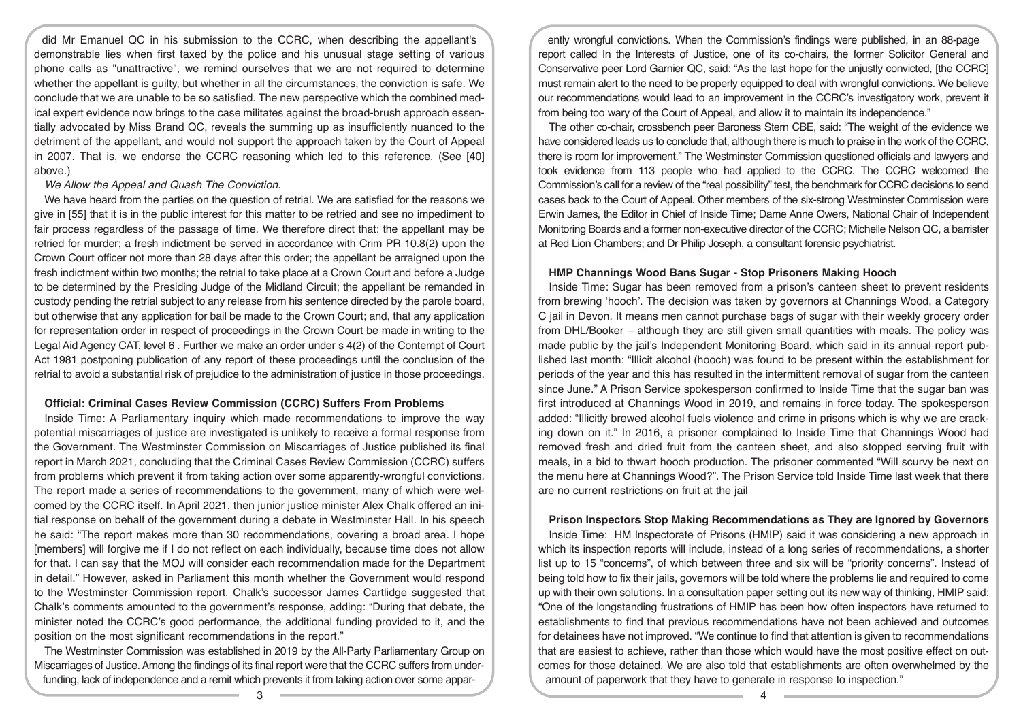did Mr Emanuel QC in his submission to the CCRC, when describing the appellant's demonstrable lies when first taxed by the police and his unusual stage setting of various phone calls as "unattractive", we remind ourselves that we are not required to determine whether the appellant is guilty, but whether in all the circumstances, the conviction is safe. We conclude that we are unable to be so satisfied. The new perspective which the combined medical expert evidence now brings to the case militates against the broad-brush approach essentially advocated by Miss Brand QC, reveals the summing up as insufficiently nuanced to the detriment of the appellant, and would not support the approach taken by the Court of Appeal in 2007. That is, we endorse the CCRC reasoning which led to this reference. (See [40] above.)

#### *We Allow the Appeal and Quash The Conviction.*

We have heard from the parties on the question of retrial. We are satisfied for the reasons we give in [55] that it is in the public interest for this matter to be retried and see no impediment to fair process regardless of the passage of time. We therefore direct that: the appellant may be retried for murder; a fresh indictment be served in accordance with Crim PR 10.8(2) upon the Crown Court officer not more than 28 days after this order; the appellant be arraigned upon the fresh indictment within two months; the retrial to take place at a Crown Court and before a Judge to be determined by the Presiding Judge of the Midland Circuit; the appellant be remanded in custody pending the retrial subject to any release from his sentence directed by the parole board, but otherwise that any application for bail be made to the Crown Court; and, that any application for representation order in respect of proceedings in the Crown Court be made in writing to the Legal Aid Agency CAT, level 6 . Further we make an order under s 4(2) of the Contempt of Court Act 1981 postponing publication of any report of these proceedings until the conclusion of the retrial to avoid a substantial risk of prejudice to the administration of justice in those proceedings.

# **Official: Criminal Cases Review Commission (CCRC) Suffers From Problems**

Inside Time: A Parliamentary inquiry which made recommendations to improve the way potential miscarriages of justice are investigated is unlikely to receive a formal response from the Government. The Westminster Commission on Miscarriages of Justice published its final report in March 2021, concluding that the Criminal Cases Review Commission (CCRC) suffers from problems which prevent it from taking action over some apparently-wrongful convictions. The report made a series of recommendations to the government, many of which were welcomed by the CCRC itself. In April 2021, then junior justice minister Alex Chalk offered an initial response on behalf of the government during a debate in Westminster Hall. In his speech he said: "The report makes more than 30 recommendations, covering a broad area. I hope [members] will forgive me if I do not reflect on each individually, because time does not allow for that. I can say that the MOJ will consider each recommendation made for the Department in detail." However, asked in Parliament this month whether the Government would respond to the Westminster Commission report, Chalk's successor James Cartlidge suggested that Chalk's comments amounted to the government's response, adding: "During that debate, the minister noted the CCRC's good performance, the additional funding provided to it, and the position on the most significant recommendations in the report."

The Westminster Commission was established in 2019 by the All-Party Parliamentary Group on Miscarriages of Justice. Among the findings of its final report were that the CCRC suffers from underfunding, lack of independence and a remit which prevents it from taking action over some appar-

ently wrongful convictions. When the Commission's findings were published, in an 88-page report called In the Interests of Justice, one of its co-chairs, the former Solicitor General and Conservative peer Lord Garnier QC, said: "As the last hope for the unjustly convicted, [the CCRC] must remain alert to the need to be properly equipped to deal with wrongful convictions. We believe our recommendations would lead to an improvement in the CCRC's investigatory work, prevent it from being too wary of the Court of Appeal, and allow it to maintain its independence."

The other co-chair, crossbench peer Baroness Stern CBE, said: "The weight of the evidence we have considered leads us to conclude that, although there is much to praise in the work of the CCRC, there is room for improvement." The Westminster Commission questioned officials and lawyers and took evidence from 113 people who had applied to the CCRC. The CCRC welcomed the Commission's call for a review of the "real possibility" test, the benchmark for CCRC decisions to send cases back to the Court of Appeal. Other members of the six-strong Westminster Commission were Erwin James, the Editor in Chief of Inside Time; Dame Anne Owers, National Chair of Independent Monitoring Boards and a former non-executive director of the CCRC; Michelle Nelson QC, a barrister at Red Lion Chambers; and Dr Philip Joseph, a consultant forensic psychiatrist.

## **HMP Channings Wood Bans Sugar - Stop Prisoners Making Hooch**

Inside Time: Sugar has been removed from a prison's canteen sheet to prevent residents from brewing 'hooch'. The decision was taken by governors at Channings Wood, a Category C jail in Devon. It means men cannot purchase bags of sugar with their weekly grocery order from DHL/Booker – although they are still given small quantities with meals. The policy was made public by the jail's Independent Monitoring Board, which said in its annual report published last month: "Illicit alcohol (hooch) was found to be present within the establishment for periods of the year and this has resulted in the intermittent removal of sugar from the canteen since June." A Prison Service spokesperson confirmed to Inside Time that the sugar ban was first introduced at Channings Wood in 2019, and remains in force today. The spokesperson added: "Illicitly brewed alcohol fuels violence and crime in prisons which is why we are cracking down on it." In 2016, a prisoner complained to Inside Time that Channings Wood had removed fresh and dried fruit from the canteen sheet, and also stopped serving fruit with meals, in a bid to thwart hooch production. The prisoner commented "Will scurvy be next on the menu here at Channings Wood?". The Prison Service told Inside Time last week that there are no current restrictions on fruit at the jail

## **Prison Inspectors Stop Making Recommendations as They are Ignored by Governors**

Inside Time: HM Inspectorate of Prisons (HMIP) said it was considering a new approach in which its inspection reports will include, instead of a long series of recommendations, a shorter list up to 15 "concerns", of which between three and six will be "priority concerns". Instead of being told how to fix their jails, governors will be told where the problems lie and required to come up with their own solutions. In a consultation paper setting out its new way of thinking, HMIP said: "One of the longstanding frustrations of HMIP has been how often inspectors have returned to establishments to find that previous recommendations have not been achieved and outcomes for detainees have not improved. "We continue to find that attention is given to recommendations that are easiest to achieve, rather than those which would have the most positive effect on outcomes for those detained. We are also told that establishments are often overwhelmed by the amount of paperwork that they have to generate in response to inspection."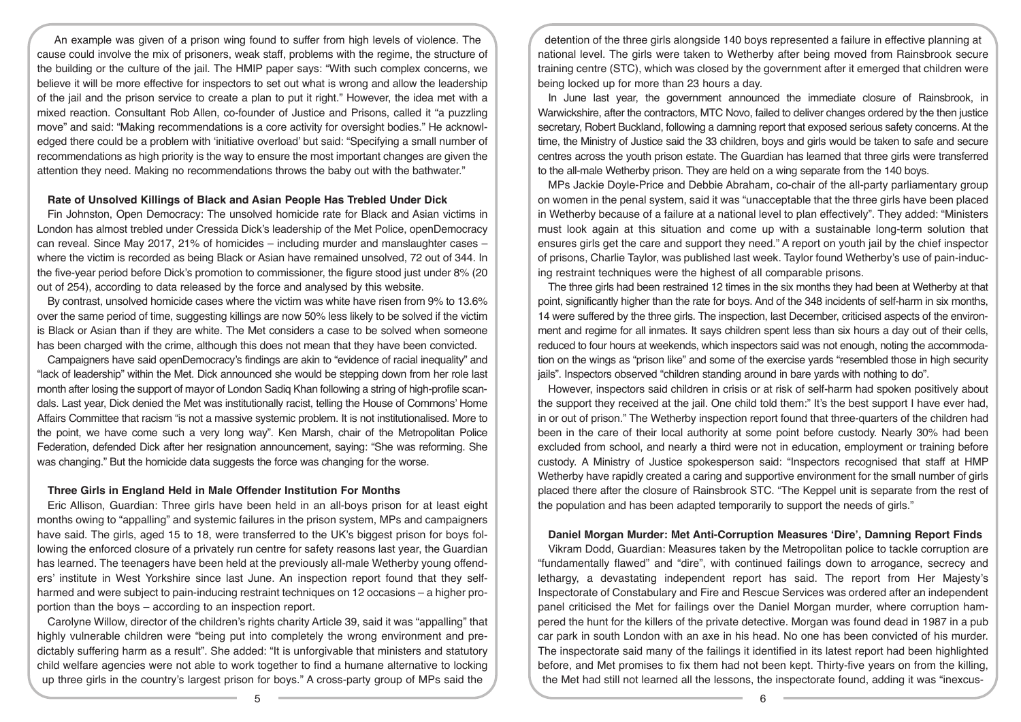An example was given of a prison wing found to suffer from high levels of violence. The cause could involve the mix of prisoners, weak staff, problems with the regime, the structure of the building or the culture of the jail. The HMIP paper says: "With such complex concerns, we believe it will be more effective for inspectors to set out what is wrong and allow the leadership of the jail and the prison service to create a plan to put it right." However, the idea met with a mixed reaction. Consultant Rob Allen, co-founder of Justice and Prisons, called it "a puzzling move" and said: "Making recommendations is a core activity for oversight bodies." He acknowledged there could be a problem with 'initiative overload' but said: "Specifying a small number of recommendations as high priority is the way to ensure the most important changes are given the attention they need. Making no recommendations throws the baby out with the bathwater."

#### **Rate of Unsolved Killings of Black and Asian People Has Trebled Under Dick**

Fin Johnston, Open Democracy: The unsolved homicide rate for Black and Asian victims in London has almost trebled under Cressida Dick's leadership of the Met Police, openDemocracy can reveal. Since May 2017, 21% of homicides – including murder and manslaughter cases – where the victim is recorded as being Black or Asian have remained unsolved, 72 out of 344. In the five-year period before Dick's promotion to commissioner, the figure stood just under 8% (20 out of 254), according to data released by the force and analysed by this website.

By contrast, unsolved homicide cases where the victim was white have risen from 9% to 13.6% over the same period of time, suggesting killings are now 50% less likely to be solved if the victim is Black or Asian than if they are white. The Met considers a case to be solved when someone has been charged with the crime, although this does not mean that they have been convicted.

Campaigners have said openDemocracy's findings are akin to "evidence of racial inequality" and "lack of leadership" within the Met. Dick announced she would be stepping down from her role last month after losing the support of mayor of London Sadiq Khan following a string of high-profile scandals. Last year, Dick denied the Met was institutionally racist, telling the House of Commons' Home Affairs Committee that racism "is not a massive systemic problem. It is not institutionalised. More to the point, we have come such a very long way". Ken Marsh, chair of the Metropolitan Police Federation, defended Dick after her resignation announcement, saying: "She was reforming. She was changing." But the homicide data suggests the force was changing for the worse.

# **Three Girls in England Held in Male Offender Institution For Months**

Eric Allison, Guardian: Three girls have been held in an all-boys prison for at least eight months owing to "appalling" and systemic failures in the prison system, MPs and campaigners have said. The girls, aged 15 to 18, were transferred to the UK's biggest prison for boys following the enforced closure of a privately run centre for safety reasons last year, the Guardian has learned. The teenagers have been held at the previously all-male Wetherby young offenders' institute in West Yorkshire since last June. An inspection report found that they selfharmed and were subject to pain-inducing restraint techniques on 12 occasions – a higher proportion than the boys – according to an inspection report.

Carolyne Willow, director of the children's rights charity Article 39, said it was "appalling" that highly vulnerable children were "being put into completely the wrong environment and predictably suffering harm as a result". She added: "It is unforgivable that ministers and statutory child welfare agencies were not able to work together to find a humane alternative to locking up three girls in the country's largest prison for boys." A cross-party group of MPs said the

detention of the three girls alongside 140 boys represented a failure in effective planning at national level. The girls were taken to Wetherby after being moved from Rainsbrook secure training centre (STC), which was closed by the government after it emerged that children were being locked up for more than 23 hours a day.

In June last year, the government announced the immediate closure of Rainsbrook, in Warwickshire, after the contractors, MTC Novo, failed to deliver changes ordered by the then justice secretary, Robert Buckland, following a damning report that exposed serious safety concerns. At the time, the Ministry of Justice said the 33 children, boys and girls would be taken to safe and secure centres across the youth prison estate. The Guardian has learned that three girls were transferred to the all-male Wetherby prison. They are held on a wing separate from the 140 boys.

MPs Jackie Doyle-Price and Debbie Abraham, co-chair of the all-party parliamentary group on women in the penal system, said it was "unacceptable that the three girls have been placed in Wetherby because of a failure at a national level to plan effectively". They added: "Ministers must look again at this situation and come up with a sustainable long-term solution that ensures girls get the care and support they need." A report on youth jail by the chief inspector of prisons, Charlie Taylor, was published last week. Taylor found Wetherby's use of pain-inducing restraint techniques were the highest of all comparable prisons.

The three girls had been restrained 12 times in the six months they had been at Wetherby at that point, significantly higher than the rate for boys. And of the 348 incidents of self-harm in six months, 14 were suffered by the three girls. The inspection, last December, criticised aspects of the environment and regime for all inmates. It says children spent less than six hours a day out of their cells, reduced to four hours at weekends, which inspectors said was not enough, noting the accommodation on the wings as "prison like" and some of the exercise yards "resembled those in high security jails". Inspectors observed "children standing around in bare yards with nothing to do".

However, inspectors said children in crisis or at risk of self-harm had spoken positively about the support they received at the jail. One child told them:" It's the best support I have ever had, in or out of prison." The Wetherby inspection report found that three-quarters of the children had been in the care of their local authority at some point before custody. Nearly 30% had been excluded from school, and nearly a third were not in education, employment or training before custody. A Ministry of Justice spokesperson said: "Inspectors recognised that staff at HMP Wetherby have rapidly created a caring and supportive environment for the small number of girls placed there after the closure of Rainsbrook STC. "The Keppel unit is separate from the rest of the population and has been adapted temporarily to support the needs of girls."

# **Daniel Morgan Murder: Met Anti-Corruption Measures 'Dire', Damning Report Finds**

Vikram Dodd, Guardian: Measures taken by the Metropolitan police to tackle corruption are "fundamentally flawed" and "dire", with continued failings down to arrogance, secrecy and lethargy, a devastating independent report has said. The report from Her Majesty's Inspectorate of Constabulary and Fire and Rescue Services was ordered after an independent panel criticised the Met for failings over the Daniel Morgan murder, where corruption hampered the hunt for the killers of the private detective. Morgan was found dead in 1987 in a pub car park in south London with an axe in his head. No one has been convicted of his murder. The inspectorate said many of the failings it identified in its latest report had been highlighted before, and Met promises to fix them had not been kept. Thirty-five years on from the killing, the Met had still not learned all the lessons, the inspectorate found, adding it was "inexcus-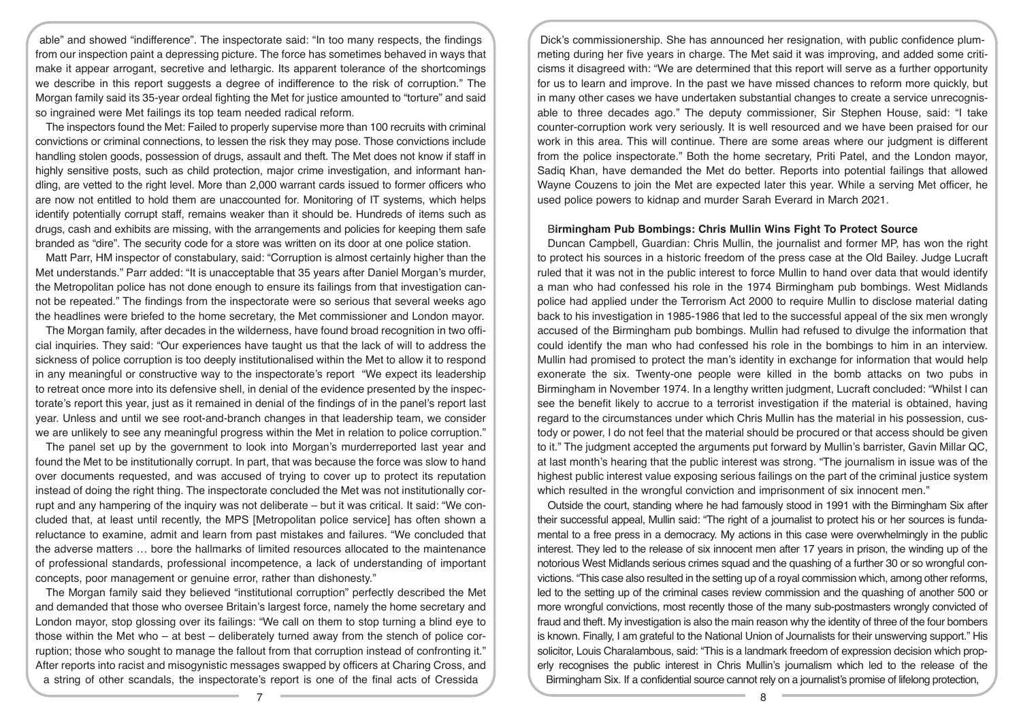able" and showed "indifference". The inspectorate said: "In too many respects, the findings from our inspection paint a depressing picture. The force has sometimes behaved in ways that make it appear arrogant, secretive and lethargic. Its apparent tolerance of the shortcomings we describe in this report suggests a degree of indifference to the risk of corruption." The Morgan family said its 35-year ordeal fighting the Met for justice amounted to "torture" and said so ingrained were Met failings its top team needed radical reform.

The inspectors found the Met: Failed to properly supervise more than 100 recruits with criminal convictions or criminal connections, to lessen the risk they may pose. Those convictions include handling stolen goods, possession of drugs, assault and theft. The Met does not know if staff in highly sensitive posts, such as child protection, major crime investigation, and informant handling, are vetted to the right level. More than 2,000 warrant cards issued to former officers who are now not entitled to hold them are unaccounted for. Monitoring of IT systems, which helps identify potentially corrupt staff, remains weaker than it should be. Hundreds of items such as drugs, cash and exhibits are missing, with the arrangements and policies for keeping them safe branded as "dire". The security code for a store was written on its door at one police station.

Matt Parr, HM inspector of constabulary, said: "Corruption is almost certainly higher than the Met understands." Parr added: "It is unacceptable that 35 years after Daniel Morgan's murder, the Metropolitan police has not done enough to ensure its failings from that investigation cannot be repeated." The findings from the inspectorate were so serious that several weeks ago the headlines were briefed to the home secretary, the Met commissioner and London mayor.

The Morgan family, after decades in the wilderness, have found broad recognition in two official inquiries. They said: "Our experiences have taught us that the lack of will to address the sickness of police corruption is too deeply institutionalised within the Met to allow it to respond in any meaningful or constructive way to the inspectorate's report "We expect its leadership to retreat once more into its defensive shell, in denial of the evidence presented by the inspectorate's report this year, just as it remained in denial of the findings of in the panel's report last year. Unless and until we see root-and-branch changes in that leadership team, we consider we are unlikely to see any meaningful progress within the Met in relation to police corruption."

The panel set up by the government to look into Morgan's murderreported last year and found the Met to be institutionally corrupt. In part, that was because the force was slow to hand over documents requested, and was accused of trying to cover up to protect its reputation instead of doing the right thing. The inspectorate concluded the Met was not institutionally corrupt and any hampering of the inquiry was not deliberate – but it was critical. It said: "We concluded that, at least until recently, the MPS [Metropolitan police service] has often shown a reluctance to examine, admit and learn from past mistakes and failures. "We concluded that the adverse matters … bore the hallmarks of limited resources allocated to the maintenance of professional standards, professional incompetence, a lack of understanding of important concepts, poor management or genuine error, rather than dishonesty."

The Morgan family said they believed "institutional corruption" perfectly described the Met and demanded that those who oversee Britain's largest force, namely the home secretary and London mayor, stop glossing over its failings: "We call on them to stop turning a blind eye to those within the Met who – at best – deliberately turned away from the stench of police corruption; those who sought to manage the fallout from that corruption instead of confronting it." After reports into racist and misogynistic messages swapped by officers at Charing Cross, and a string of other scandals, the inspectorate's report is one of the final acts of Cressida

Dick's commissionership. She has announced her resignation, with public confidence plummeting during her five years in charge. The Met said it was improving, and added some criticisms it disagreed with: "We are determined that this report will serve as a further opportunity for us to learn and improve. In the past we have missed chances to reform more quickly, but in many other cases we have undertaken substantial changes to create a service unrecognisable to three decades ago." The deputy commissioner, Sir Stephen House, said: "I take counter-corruption work very seriously. It is well resourced and we have been praised for our work in this area. This will continue. There are some areas where our judgment is different from the police inspectorate." Both the home secretary, Priti Patel, and the London mayor, Sadiq Khan, have demanded the Met do better. Reports into potential failings that allowed Wayne Couzens to join the Met are expected later this year. While a serving Met officer, he used police powers to kidnap and murder Sarah Everard in March 2021.

# B**irmingham Pub Bombings: Chris Mullin Wins Fight To Protect Source**

Duncan Campbell, Guardian: Chris Mullin, the journalist and former MP, has won the right to protect his sources in a historic freedom of the press case at the Old Bailey. Judge Lucraft ruled that it was not in the public interest to force Mullin to hand over data that would identify a man who had confessed his role in the 1974 Birmingham pub bombings. West Midlands police had applied under the Terrorism Act 2000 to require Mullin to disclose material dating back to his investigation in 1985-1986 that led to the successful appeal of the six men wrongly accused of the Birmingham pub bombings. Mullin had refused to divulge the information that could identify the man who had confessed his role in the bombings to him in an interview. Mullin had promised to protect the man's identity in exchange for information that would help exonerate the six. Twenty-one people were killed in the bomb attacks on two pubs in Birmingham in November 1974. In a lengthy written judgment, Lucraft concluded: "Whilst I can see the benefit likely to accrue to a terrorist investigation if the material is obtained, having regard to the circumstances under which Chris Mullin has the material in his possession, custody or power, I do not feel that the material should be procured or that access should be given to it." The judgment accepted the arguments put forward by Mullin's barrister, Gavin Millar QC, at last month's hearing that the public interest was strong. "The journalism in issue was of the highest public interest value exposing serious failings on the part of the criminal justice system which resulted in the wrongful conviction and imprisonment of six innocent men."

Outside the court, standing where he had famously stood in 1991 with the Birmingham Six after their successful appeal, Mullin said: "The right of a journalist to protect his or her sources is fundamental to a free press in a democracy. My actions in this case were overwhelmingly in the public interest. They led to the release of six innocent men after 17 years in prison, the winding up of the notorious West Midlands serious crimes squad and the quashing of a further 30 or so wrongful convictions. "This case also resulted in the setting up of a royal commission which, among other reforms, led to the setting up of the criminal cases review commission and the quashing of another 500 or more wrongful convictions, most recently those of the many sub-postmasters wrongly convicted of fraud and theft. My investigation is also the main reason why the identity of three of the four bombers is known. Finally, I am grateful to the National Union of Journalists for their unswerving support." His solicitor, Louis Charalambous, said: "This is a landmark freedom of expression decision which properly recognises the public interest in Chris Mullin's journalism which led to the release of the Birmingham Six. If a confidential source cannot rely on a journalist's promise of lifelong protection,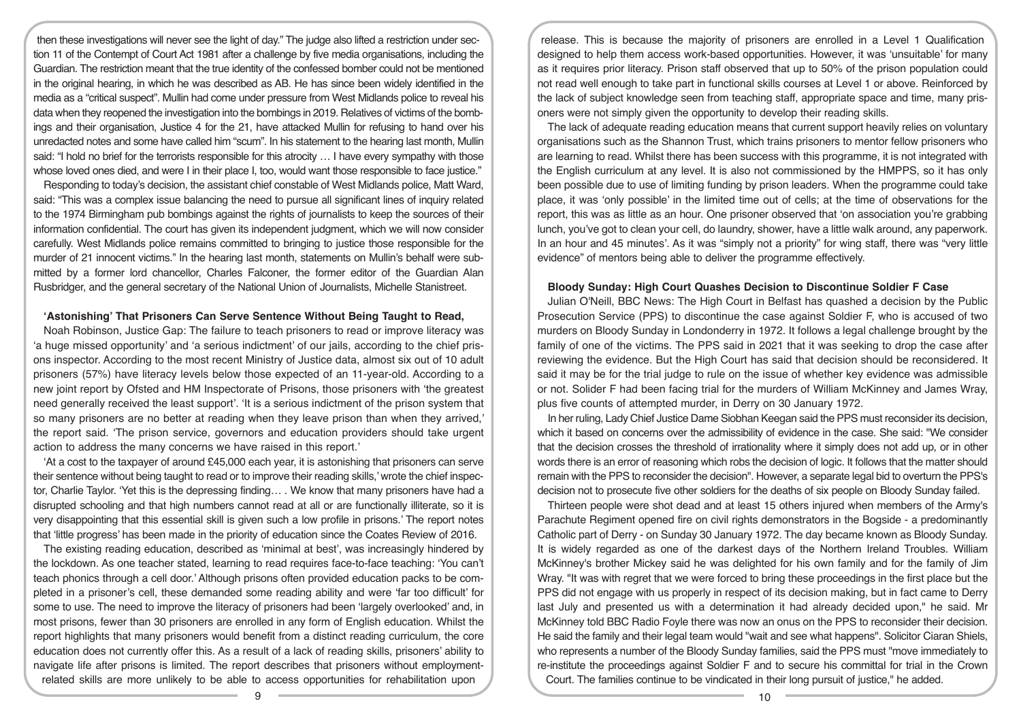then these investigations will never see the light of day." The judge also lifted a restriction under section 11 of the Contempt of Court Act 1981 after a challenge by five media organisations, including the Guardian. The restriction meant that the true identity of the confessed bomber could not be mentioned in the original hearing, in which he was described as AB. He has since been widely identified in the media as a "critical suspect". Mullin had come under pressure from West Midlands police to reveal his data when they reopened the investigation into the bombings in 2019. Relatives of victims of the bombings and their organisation, Justice 4 for the 21, have attacked Mullin for refusing to hand over his unredacted notes and some have called him "scum". In his statement to the hearing last month, Mullin said: "I hold no brief for the terrorists responsible for this atrocity … I have every sympathy with those whose loved ones died, and were I in their place I, too, would want those responsible to face justice."

Responding to today's decision, the assistant chief constable of West Midlands police, Matt Ward, said: "This was a complex issue balancing the need to pursue all significant lines of inquiry related to the 1974 Birmingham pub bombings against the rights of journalists to keep the sources of their information confidential. The court has given its independent judgment, which we will now consider carefully. West Midlands police remains committed to bringing to justice those responsible for the murder of 21 innocent victims." In the hearing last month, statements on Mullin's behalf were submitted by a former lord chancellor, Charles Falconer, the former editor of the Guardian Alan Rusbridger, and the general secretary of the National Union of Journalists, Michelle Stanistreet.

#### **'Astonishing' That Prisoners Can Serve Sentence Without Being Taught to Read,**

Noah Robinson, Justice Gap: The failure to teach prisoners to read or improve literacy was 'a huge missed opportunity' and 'a serious indictment' of our jails, according to the chief prisons inspector. According to the most recent Ministry of Justice data, almost six out of 10 adult prisoners (57%) have literacy levels below those expected of an 11-year-old. According to a new joint report by Ofsted and HM Inspectorate of Prisons, those prisoners with 'the greatest need generally received the least support'. 'It is a serious indictment of the prison system that so many prisoners are no better at reading when they leave prison than when they arrived,' the report said. 'The prison service, governors and education providers should take urgent action to address the many concerns we have raised in this report.'

'At a cost to the taxpayer of around £45,000 each year, it is astonishing that prisoners can serve their sentence without being taught to read or to improve their reading skills,' wrote the chief inspector, Charlie Taylor. 'Yet this is the depressing finding… . We know that many prisoners have had a disrupted schooling and that high numbers cannot read at all or are functionally illiterate, so it is very disappointing that this essential skill is given such a low profile in prisons.' The report notes that 'little progress' has been made in the priority of education since the Coates Review of 2016.

The existing reading education, described as 'minimal at best', was increasingly hindered by the lockdown. As one teacher stated, learning to read requires face-to-face teaching: 'You can't teach phonics through a cell door.' Although prisons often provided education packs to be completed in a prisoner's cell, these demanded some reading ability and were 'far too difficult' for some to use. The need to improve the literacy of prisoners had been 'largely overlooked' and, in most prisons, fewer than 30 prisoners are enrolled in any form of English education. Whilst the report highlights that many prisoners would benefit from a distinct reading curriculum, the core education does not currently offer this. As a result of a lack of reading skills, prisoners' ability to navigate life after prisons is limited. The report describes that prisoners without employmentrelated skills are more unlikely to be able to access opportunities for rehabilitation upon

release. This is because the majority of prisoners are enrolled in a Level 1 Qualification designed to help them access work-based opportunities. However, it was 'unsuitable' for many as it requires prior literacy. Prison staff observed that up to 50% of the prison population could not read well enough to take part in functional skills courses at Level 1 or above. Reinforced by the lack of subject knowledge seen from teaching staff, appropriate space and time, many prisoners were not simply given the opportunity to develop their reading skills.

The lack of adequate reading education means that current support heavily relies on voluntary organisations such as the Shannon Trust, which trains prisoners to mentor fellow prisoners who are learning to read. Whilst there has been success with this programme, it is not integrated with the English curriculum at any level. It is also not commissioned by the HMPPS, so it has only been possible due to use of limiting funding by prison leaders. When the programme could take place, it was 'only possible' in the limited time out of cells; at the time of observations for the report, this was as little as an hour. One prisoner observed that 'on association you're grabbing lunch, you've got to clean your cell, do laundry, shower, have a little walk around, any paperwork. In an hour and 45 minutes'. As it was "simply not a priority" for wing staff, there was "very little evidence" of mentors being able to deliver the programme effectively.

# **Bloody Sunday: High Court Quashes Decision to Discontinue Soldier F Case**

Julian O'Neill, BBC News: The High Court in Belfast has quashed a decision by the Public Prosecution Service (PPS) to discontinue the case against Soldier F, who is accused of two murders on Bloody Sunday in Londonderry in 1972. It follows a legal challenge brought by the family of one of the victims. The PPS said in 2021 that it was seeking to drop the case after reviewing the evidence. But the High Court has said that decision should be reconsidered. It said it may be for the trial judge to rule on the issue of whether key evidence was admissible or not. Solider F had been facing trial for the murders of William McKinney and James Wray, plus five counts of attempted murder, in Derry on 30 January 1972.

In her ruling, Lady Chief Justice Dame Siobhan Keegan said the PPS must reconsider its decision, which it based on concerns over the admissibility of evidence in the case. She said: "We consider that the decision crosses the threshold of irrationality where it simply does not add up, or in other words there is an error of reasoning which robs the decision of logic. It follows that the matter should remain with the PPS to reconsider the decision". However, a separate legal bid to overturn the PPS's decision not to prosecute five other soldiers for the deaths of six people on Bloody Sunday failed.

Thirteen people were shot dead and at least 15 others injured when members of the Army's Parachute Regiment opened fire on civil rights demonstrators in the Bogside - a predominantly Catholic part of Derry - on Sunday 30 January 1972. The day became known as Bloody Sunday. It is widely regarded as one of the darkest days of the Northern Ireland Troubles. William McKinney's brother Mickey said he was delighted for his own family and for the family of Jim Wray. "It was with regret that we were forced to bring these proceedings in the first place but the PPS did not engage with us properly in respect of its decision making, but in fact came to Derry last July and presented us with a determination it had already decided upon," he said. Mr McKinney told BBC Radio Foyle there was now an onus on the PPS to reconsider their decision. He said the family and their legal team would "wait and see what happens". Solicitor Ciaran Shiels, who represents a number of the Bloody Sunday families, said the PPS must "move immediately to re-institute the proceedings against Soldier F and to secure his committal for trial in the Crown Court. The families continue to be vindicated in their long pursuit of justice," he added.